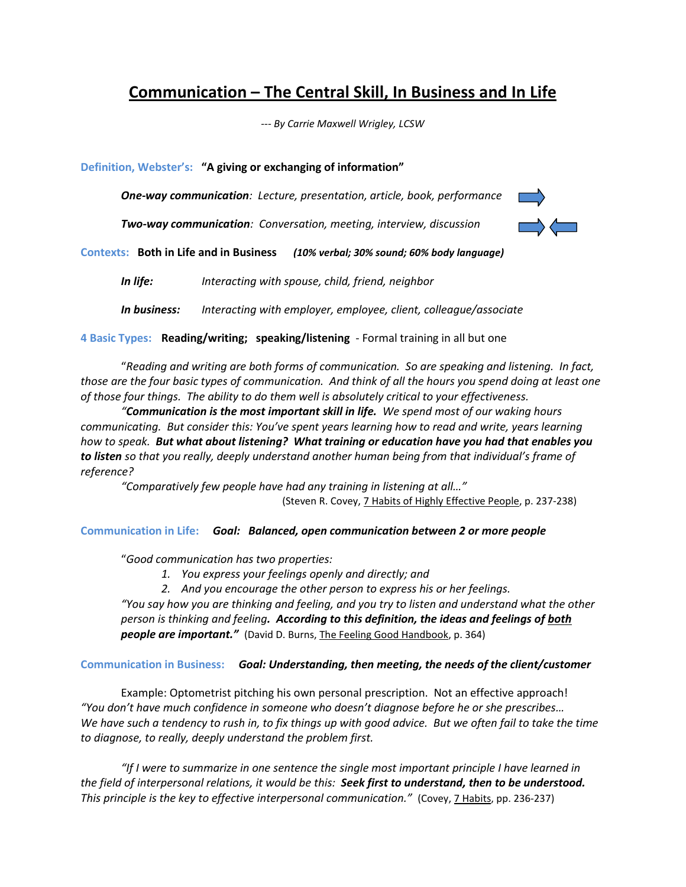# **Communication – The Central Skill, In Business and In Life**

*--- By Carrie Maxwell Wrigley, LCSW*

**Definition, Webster's: "A giving or exchanging of information"**

*One-way communication: Lecture, presentation, article, book, performance*

*Two-way communication: Conversation, meeting, interview, discussion*



**Contexts: Both in Life and in Business** *(10% verbal; 30% sound; 60% body language)*

*In life: Interacting with spouse, child, friend, neighbor*

*In business: Interacting with employer, employee, client, colleague/associate*

**4 Basic Types: Reading/writing; speaking/listening** - Formal training in all but one

"*Reading and writing are both forms of communication. So are speaking and listening. In fact, those are the four basic types of communication. And think of all the hours you spend doing at least one of those four things. The ability to do them well is absolutely critical to your effectiveness.*

*"Communication is the most important skill in life. We spend most of our waking hours communicating. But consider this: You've spent years learning how to read and write, years learning how to speak. But what about listening? What training or education have you had that enables you to listen so that you really, deeply understand another human being from that individual's frame of reference?*

*"Comparatively few people have had any training in listening at all…"*  (Steven R. Covey, 7 Habits of Highly Effective People, p. 237-238)

**Communication in Life:** *Goal: Balanced, open communication between 2 or more people* 

"*Good communication has two properties:*

- *1. You express your feelings openly and directly; and*
- *2. And you encourage the other person to express his or her feelings.*

*"You say how you are thinking and feeling, and you try to listen and understand what the other person is thinking and feeling. According to this definition, the ideas and feelings of both* **people are important."** (David D. Burns, The Feeling Good Handbook, p. 364)

# **Communication in Business:** *Goal: Understanding, then meeting, the needs of the client/customer*

Example: Optometrist pitching his own personal prescription. Not an effective approach! *"You don't have much confidence in someone who doesn't diagnose before he or she prescribes… We have such a tendency to rush in, to fix things up with good advice. But we often fail to take the time to diagnose, to really, deeply understand the problem first.*

*"If I were to summarize in one sentence the single most important principle I have learned in the field of interpersonal relations, it would be this: Seek first to understand, then to be understood. This principle is the key to effective interpersonal communication."* (Covey, 7 Habits, pp. 236-237)